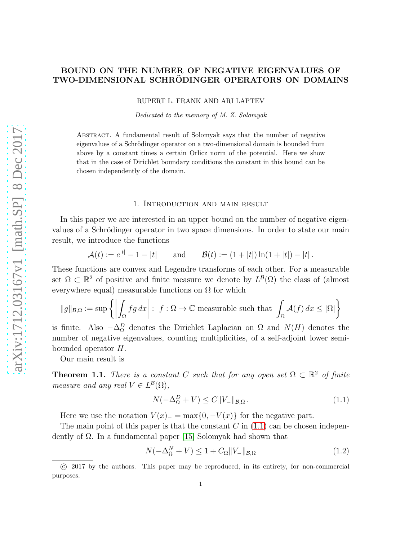# BOUND ON THE NUMBER OF NEGATIVE EIGENVALUES OF TWO-DIMENSIONAL SCHRÖDINGER OPERATORS ON DOMAINS

RUPERT L. FRANK AND ARI LAPTEV

Dedicated to the memory of M. Z. Solomyak

Abstract. A fundamental result of Solomyak says that the number of negative eigenvalues of a Schrödinger operator on a two-dimensional domain is bounded from above by a constant times a certain Orlicz norm of the potential. Here we show that in the case of Dirichlet boundary conditions the constant in this bound can be chosen independently of the domain.

#### 1. Introduction and main result

In this paper we are interested in an upper bound on the number of negative eigenvalues of a Schrödinger operator in two space dimensions. In order to state our main result, we introduce the functions

$$
\mathcal{A}(t) := e^{|t|} - 1 - |t| \quad \text{and} \quad \mathcal{B}(t) := (1 + |t|) \ln(1 + |t|) - |t|.
$$

These functions are convex and Legendre transforms of each other. For a measurable set  $\Omega \subset \mathbb{R}^2$  of positive and finite measure we denote by  $L^{\mathcal{B}}(\Omega)$  the class of (almost everywhere equal) measurable functions on  $\Omega$  for which

$$
\|g\|_{\mathcal{B},\Omega} := \sup \left\{ \left| \int_{\Omega} fg \, dx \right| : f : \Omega \to \mathbb{C} \text{ measurable such that } \int_{\Omega} \mathcal{A}(f) \, dx \leq |\Omega| \right\}
$$

is finite. Also  $-\Delta_{\Omega}^{D}$  denotes the Dirichlet Laplacian on  $\Omega$  and  $N(H)$  denotes the number of negative eigenvalues, counting multiplicities, of a self-adjoint lower semibounded operator H.

Our main result is

<span id="page-0-2"></span>**Theorem 1.1.** There is a constant C such that for any open set  $\Omega \subset \mathbb{R}^2$  of finite measure and any real  $V \in L^{\mathcal{B}}(\Omega)$ ,

<span id="page-0-0"></span>
$$
N(-\Delta_{\Omega}^D + V) \le C \|V_{-}\|_{\mathcal{B},\Omega}.
$$
\n(1.1)

Here we use the notation  $V(x)$ <sub>−</sub> = max{0, - $V(x)$ } for the negative part.

The main point of this paper is that the constant  $C$  in  $(1.1)$  can be chosen independently of  $\Omega$ . In a fundamental paper [\[15\]](#page-16-0) Solomyak had shown that

<span id="page-0-1"></span>
$$
N(-\Delta_{\Omega}^{N} + V) \le 1 + C_{\Omega} \|V_{-}\|_{\mathcal{B},\Omega}
$$
\n(1.2)

 $\overline{(c)}$  2017 by the authors. This paper may be reproduced, in its entirety, for non-commercial purposes.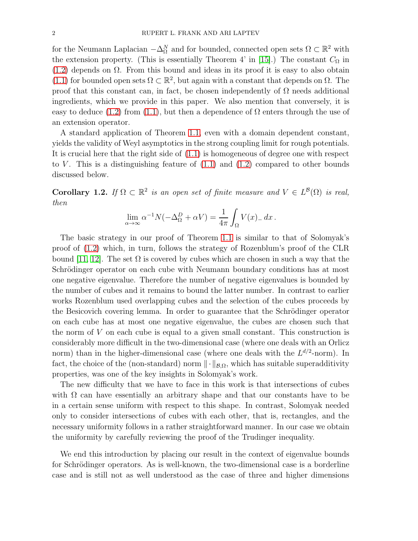for the Neumann Laplacian  $-\Delta_{\Omega}^{N}$  and for bounded, connected open sets  $\Omega \subset \mathbb{R}^{2}$  with the extension property. (This is essentially Theorem 4' in [\[15\]](#page-16-0).) The constant  $C_{\Omega}$  in [\(1.2\)](#page-0-1) depends on  $\Omega$ . From this bound and ideas in its proof it is easy to also obtain [\(1.1\)](#page-0-0) for bounded open sets  $\Omega \subset \mathbb{R}^2$ , but again with a constant that depends on  $\Omega$ . The proof that this constant can, in fact, be chosen independently of  $\Omega$  needs additional ingredients, which we provide in this paper. We also mention that conversely, it is easy to deduce [\(1.2\)](#page-0-1) from [\(1.1\)](#page-0-0), but then a dependence of  $\Omega$  enters through the use of an extension operator.

A standard application of Theorem [1.1,](#page-0-2) even with a domain dependent constant, yields the validity of Weyl asymptotics in the strong coupling limit for rough potentials. It is crucial here that the right side of [\(1.1\)](#page-0-0) is homogeneous of degree one with respect to V. This is a distinguishing feature of  $(1.1)$  and  $(1.2)$  compared to other bounds discussed below.

<span id="page-1-0"></span>Corollary 1.2. If  $\Omega \subset \mathbb{R}^2$  is an open set of finite measure and  $V \in L^{\mathcal{B}}(\Omega)$  is real, then

$$
\lim_{\alpha \to \infty} \alpha^{-1} N(-\Delta_{\Omega}^{D} + \alpha V) = \frac{1}{4\pi} \int_{\Omega} V(x)_{-} dx.
$$

The basic strategy in our proof of Theorem [1.1](#page-0-2) is similar to that of Solomyak's proof of [\(1.2\)](#page-0-1) which, in turn, follows the strategy of Rozenblum's proof of the CLR bound [\[11,](#page-16-1) [12\]](#page-16-2). The set  $\Omega$  is covered by cubes which are chosen in such a way that the Schrödinger operator on each cube with Neumann boundary conditions has at most one negative eigenvalue. Therefore the number of negative eigenvalues is bounded by the number of cubes and it remains to bound the latter number. In contrast to earlier works Rozenblum used overlapping cubes and the selection of the cubes proceeds by the Besicovich covering lemma. In order to guarantee that the Schrödinger operator on each cube has at most one negative eigenvalue, the cubes are chosen such that the norm of V on each cube is equal to a given small constant. This construction is considerably more difficult in the two-dimensional case (where one deals with an Orlicz norm) than in the higher-dimensional case (where one deals with the  $L^{d/2}$ -norm). In fact, the choice of the (non-standard) norm  $\|\cdot\|_{\mathcal{B},\Omega}$ , which has suitable superadditivity properties, was one of the key insights in Solomyak's work.

The new difficulty that we have to face in this work is that intersections of cubes with  $\Omega$  can have essentially an arbitrary shape and that our constants have to be in a certain sense uniform with respect to this shape. In contrast, Solomyak needed only to consider intersections of cubes with each other, that is, rectangles, and the necessary uniformity follows in a rather straightforward manner. In our case we obtain the uniformity by carefully reviewing the proof of the Trudinger inequality.

We end this introduction by placing our result in the context of eigenvalue bounds for Schrödinger operators. As is well-known, the two-dimensional case is a borderline case and is still not as well understood as the case of three and higher dimensions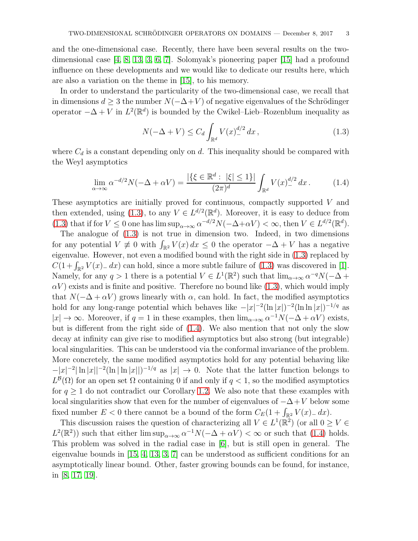and the one-dimensional case. Recently, there have been several results on the twodimensional case [\[4,](#page-15-0) [8,](#page-15-1) [13,](#page-16-3) [3,](#page-15-2) [6,](#page-15-3) [7\]](#page-15-4). Solomyak's pioneering paper [\[15\]](#page-16-0) had a profound influence on these developments and we would like to dedicate our results here, which are also a variation on the theme in [\[15\]](#page-16-0), to his memory.

In order to understand the particularity of the two-dimensional case, we recall that in dimensions  $d \geq 3$  the number  $N(-\Delta + V)$  of negative eigenvalues of the Schrödinger operator  $-\Delta + V$  in  $L^2(\mathbb{R}^d)$  is bounded by the Cwikel–Lieb–Rozenblum inequality as

<span id="page-2-0"></span>
$$
N(-\Delta + V) \le C_d \int_{\mathbb{R}^d} V(x)_{-}^{d/2} dx,
$$
\n(1.3)

where  $C_d$  is a constant depending only on d. This inequality should be compared with the Weyl asymptotics

<span id="page-2-1"></span>
$$
\lim_{\alpha \to \infty} \alpha^{-d/2} N(-\Delta + \alpha V) = \frac{|\{\xi \in \mathbb{R}^d : |\xi| \le 1\}|}{(2\pi)^d} \int_{\mathbb{R}^d} V(x)_{-}^{d/2} dx. \tag{1.4}
$$

These asymptotics are initially proved for continuous, compactly supported V and then extended, using [\(1.3\)](#page-2-0), to any  $V \in L^{d/2}(\mathbb{R}^d)$ . Moreover, it is easy to deduce from [\(1.3\)](#page-2-0) that if for  $V \le 0$  one has  $\limsup_{\alpha \to \infty} \alpha^{-d/2} N(-\Delta + \alpha V) < \infty$ , then  $V \in L^{d/2}(\mathbb{R}^d)$ .

The analogue of [\(1.3\)](#page-2-0) is not true in dimension two. Indeed, in two dimensions for any potential  $V \neq 0$  with  $\int_{\mathbb{R}^2} V(x) dx \leq 0$  the operator  $-\Delta + V$  has a negative eigenvalue. However, not even a modified bound with the right side in [\(1.3\)](#page-2-0) replaced by  $C(1+\int_{\mathbb{R}^2} V(x)_{-} dx)$  can hold, since a more subtle failure of [\(1.3\)](#page-2-0) was discovered in [\[1\]](#page-15-5). Namely, for any  $q > 1$  there is a potential  $V \in L^1(\mathbb{R}^2)$  such that  $\lim_{\alpha \to \infty} \alpha^{-q} N(-\Delta +$  $\alpha V$ ) exists and is finite and positive. Therefore no bound like [\(1.3\)](#page-2-0), which would imply that  $N(-\Delta + \alpha V)$  grows linearly with  $\alpha$ , can hold. In fact, the modified asymptotics hold for any long-range potential which behaves like  $-|x|^{-2}(\ln |x|)^{-2}(\ln \ln |x|)^{-1/q}$  as  $|x| \to \infty$ . Moreover, if  $q = 1$  in these examples, then  $\lim_{\alpha \to \infty} \alpha^{-1} N(-\Delta + \alpha V)$  exists, but is different from the right side of [\(1.4\)](#page-2-1). We also mention that not only the slow decay at infinity can give rise to modified asymptotics but also strong (but integrable) local singularities. This can be understood via the conformal invariance of the problem. More concretely, the same modified asymptotics hold for any potential behaving like  $-|x|^{-2}|\ln|x||^{-2}(\ln|\ln|x||)^{-1/q}$  as  $|x|\to 0$ . Note that the latter function belongs to  $L^{\mathcal{B}}(\Omega)$  for an open set  $\Omega$  containing 0 if and only if  $q < 1$ , so the modified asymptotics for  $q \geq 1$  do not contradict our Corollary [1.2.](#page-1-0) We also note that these examples with local singularities show that even for the number of eigenvalues of  $-\Delta+V$  below some fixed number  $E < 0$  there cannot be a bound of the form  $C_E(1 + \int_{\mathbb{R}^2} V(x) dx)$ .

This discussion raises the question of characterizing all  $V \in L^1(\mathbb{R}^2)$  (or all  $0 \ge V \in$  $L^2(\mathbb{R}^2)$  such that either  $\limsup_{\alpha\to\infty} \alpha^{-1}N(-\Delta+\alpha V) < \infty$  or such that [\(1.4\)](#page-2-1) holds. This problem was solved in the radial case in [\[6\]](#page-15-3), but is still open in general. The eigenvalue bounds in [\[15,](#page-16-0) [4,](#page-15-0) [13,](#page-16-3) [3,](#page-15-2) [7\]](#page-15-4) can be understood as sufficient conditions for an asymptotically linear bound. Other, faster growing bounds can be found, for instance, in [\[8,](#page-15-1) [17,](#page-16-4) [19\]](#page-16-5).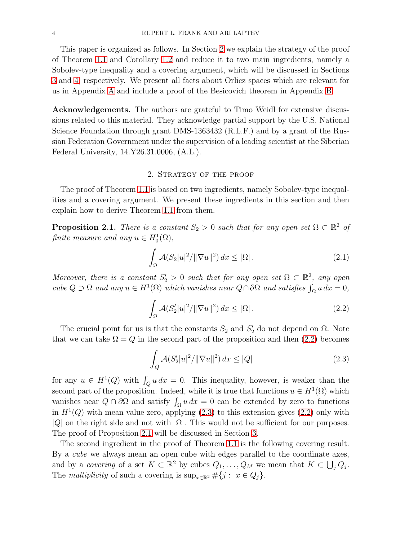This paper is organized as follows. In Section [2](#page-3-0) we explain the strategy of the proof of Theorem [1.1](#page-0-2) and Corollary [1.2](#page-1-0) and reduce it to two main ingredients, namely a Sobolev-type inequality and a covering argument, which will be discussed in Sections [3](#page-6-0) and [4,](#page-8-0) respectively. We present all facts about Orlicz spaces which are relevant for us in Appendix [A](#page-9-0) and include a proof of the Besicovich theorem in Appendix [B.](#page-13-0)

Acknowledgements. The authors are grateful to Timo Weidl for extensive discussions related to this material. They acknowledge partial support by the U.S. National Science Foundation through grant DMS-1363432 (R.L.F.) and by a grant of the Russian Federation Government under the supervision of a leading scientist at the Siberian Federal University, 14.Y26.31.0006, (A.L.).

## 2. Strategy of the proof

<span id="page-3-0"></span>The proof of Theorem [1.1](#page-0-2) is based on two ingredients, namely Sobolev-type inequalities and a covering argument. We present these ingredients in this section and then explain how to derive Theorem [1.1](#page-0-2) from them.

<span id="page-3-3"></span>**Proposition 2.1.** There is a constant  $S_2 > 0$  such that for any open set  $\Omega \subset \mathbb{R}^2$  of finite measure and any  $u \in H_0^1(\Omega)$ ,

$$
\int_{\Omega} \mathcal{A}(S_2|u|^2/\|\nabla u\|^2) dx \le |\Omega|.
$$
\n(2.1)

Moreover, there is a constant  $S'_2 > 0$  such that for any open set  $\Omega \subset \mathbb{R}^2$ , any open cube  $Q \supset \Omega$  and any  $u \in H^1(\Omega)$  which vanishes near  $Q \cap \partial \Omega$  and satisfies  $\int_{\Omega} u dx = 0$ ,

<span id="page-3-1"></span>
$$
\int_{\Omega} \mathcal{A}(S_2'|u|^2/\|\nabla u\|^2) dx \le |\Omega|.
$$
\n(2.2)

The crucial point for us is that the constants  $S_2$  and  $S'_2$  do not depend on  $\Omega$ . Note that we can take  $\Omega = Q$  in the second part of the proposition and then [\(2.2\)](#page-3-1) becomes

<span id="page-3-2"></span>
$$
\int_{Q} \mathcal{A}(S_2'|u|^2/\|\nabla u\|^2) dx \le |Q| \tag{2.3}
$$

for any  $u \in H^1(Q)$  with  $\int_Q u \, dx = 0$ . This inequality, however, is weaker than the second part of the proposition. Indeed, while it is true that functions  $u \in H^1(\Omega)$  which vanishes near  $Q \cap \partial\Omega$  and satisfy  $\int_{\Omega} u \, dx = 0$  can be extended by zero to functions in  $H<sup>1</sup>(Q)$  with mean value zero, applying  $(2.3)$  to this extension gives  $(2.2)$  only with |Q| on the right side and not with  $|\Omega|$ . This would not be sufficient for our purposes. The proof of Proposition [2.1](#page-3-3) will be discussed in Section [3.](#page-6-0)

The second ingredient in the proof of Theorem [1.1](#page-0-2) is the following covering result. By a *cube* we always mean an open cube with edges parallel to the coordinate axes, and by a covering of a set  $K \subset \mathbb{R}^2$  by cubes  $Q_1, \ldots, Q_M$  we mean that  $K \subset \bigcup_j Q_j$ . The multiplicity of such a covering is  $\sup_{x \in \mathbb{R}^2} \# \{j : x \in Q_j\}.$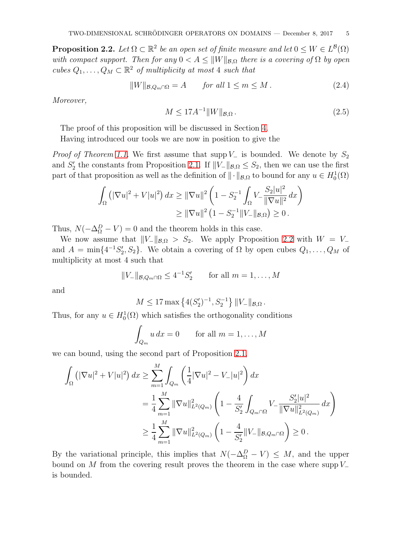<span id="page-4-0"></span>**Proposition 2.2.** Let  $\Omega \subset \mathbb{R}^2$  be an open set of finite measure and let  $0 \leq W \in L^{\mathcal{B}}(\Omega)$ with compact support. Then for any  $0 < A \leq ||W||_{\mathcal{B},\Omega}$  there is a covering of  $\Omega$  by open cubes  $Q_1, \ldots, Q_M \subset \mathbb{R}^2$  of multiplicity at most 4 such that

$$
||W||_{\mathcal{B}, Q_m \cap \Omega} = A \quad \text{for all } 1 \le m \le M. \tag{2.4}
$$

Moreover,

$$
M \le 17A^{-1} \|W\|_{\mathcal{B},\Omega} \,. \tag{2.5}
$$

The proof of this proposition will be discussed in Section [4.](#page-8-0)

Having introduced our tools we are now in position to give the

*Proof of Theorem [1.1.](#page-0-2)* We first assume that supp  $V_-\$  is bounded. We denote by  $S_2$ and  $S'_2$  the constants from Proposition [2.1.](#page-3-3) If  $||V_-\|_{\mathcal{B},\Omega} \leq S_2$ , then we can use the first part of that proposition as well as the definition of  $\|\cdot\|_{\mathcal{B},\Omega}$  to bound for any  $u \in H_0^1(\Omega)$ 

$$
\int_{\Omega} \left( |\nabla u|^2 + V|u|^2 \right) dx \ge ||\nabla u||^2 \left( 1 - S_2^{-1} \int_{\Omega} V_- \frac{S_2 |u|^2}{\|\nabla u\|^2} dx \right)
$$
  

$$
\ge ||\nabla u||^2 \left( 1 - S_2^{-1} ||V_-||_{\mathcal{B},\Omega} \right) \ge 0.
$$

Thus,  $N(-\Delta_{\Omega}^{D} - V) = 0$  and the theorem holds in this case.

We now assume that  $||V_-\Vert_{\mathcal{B},\Omega} > S_2$ . We apply Proposition [2.2](#page-4-0) with  $W = V_-\$ and  $A = \min\{4^{-1}S_2', S_2\}$ . We obtain a covering of  $\Omega$  by open cubes  $Q_1, \ldots, Q_M$  of multiplicity at most 4 such that

$$
||V_{-}||_{\mathcal{B},Q_m\cap\Omega} \leq 4^{-1}S_2' \qquad \text{for all } m = 1,\ldots,M
$$

and

$$
M \le 17 \max \left\{ 4(S_2')^{-1}, S_2^{-1} \right\} ||V_-||_{\mathcal{B}, \Omega}.
$$

Thus, for any  $u \in H_0^1(\Omega)$  which satisfies the orthogonality conditions

$$
\int_{Q_m} u \, dx = 0 \qquad \text{for all } m = 1, \dots, M
$$

we can bound, using the second part of Proposition [2.1,](#page-3-3)

$$
\int_{\Omega} \left( |\nabla u|^2 + V|u|^2 \right) dx \ge \sum_{m=1}^{M} \int_{Q_m} \left( \frac{1}{4} |\nabla u|^2 - V_-|u|^2 \right) dx
$$
  
\n
$$
= \frac{1}{4} \sum_{m=1}^{M} ||\nabla u||_{L^2(Q_m)}^2 \left( 1 - \frac{4}{S_2'} \int_{Q_m \cap \Omega} V_- \frac{S_2'|u|^2}{||\nabla u||_{L^2(Q_m)}^2} dx \right)
$$
  
\n
$$
\ge \frac{1}{4} \sum_{m=1}^{M} ||\nabla u||_{L^2(Q_m)}^2 \left( 1 - \frac{4}{S_2'} ||V_-||_{\mathcal{B},Q_m \cap \Omega} \right) \ge 0.
$$

By the variational principle, this implies that  $N(-\Delta_{\Omega}^D - V) \leq M$ , and the upper bound on M from the covering result proves the theorem in the case where supp  $V_-\$ is bounded.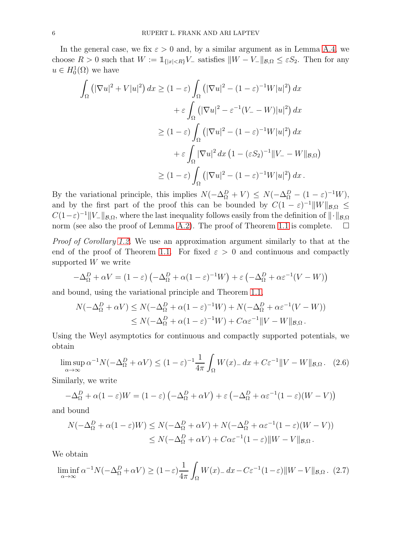In the general case, we fix  $\varepsilon > 0$  and, by a similar argument as in Lemma [A.4,](#page-12-0) we choose  $R > 0$  such that  $W := \mathbb{1}_{\{|x| < R\}} V$  satisfies  $||W - V_-\||_{\mathcal{B}, \Omega} \leq \varepsilon S_2$ . Then for any  $u \in H_0^1(\Omega)$  we have

$$
\int_{\Omega} \left( |\nabla u|^2 + V|u|^2 \right) dx \ge (1 - \varepsilon) \int_{\Omega} \left( |\nabla u|^2 - (1 - \varepsilon)^{-1} W|u|^2 \right) dx
$$

$$
+ \varepsilon \int_{\Omega} \left( |\nabla u|^2 - \varepsilon^{-1} (V_- - W)|u|^2 \right) dx
$$

$$
\ge (1 - \varepsilon) \int_{\Omega} \left( |\nabla u|^2 - (1 - \varepsilon)^{-1} W|u|^2 \right) dx
$$

$$
+ \varepsilon \int_{\Omega} |\nabla u|^2 dx \left( 1 - (\varepsilon S_2)^{-1} \| V_- - W \|_{\mathcal{B}, \Omega} \right)
$$

$$
\ge (1 - \varepsilon) \int_{\Omega} \left( |\nabla u|^2 - (1 - \varepsilon)^{-1} W|u|^2 \right) dx.
$$

By the variational principle, this implies  $N(-\Delta_{\Omega}^D + V) \le N(-\Delta_{\Omega}^D - (1 - \varepsilon)^{-1}W)$ , and by the first part of the proof this can be bounded by  $C(1-\varepsilon)^{-1}||W||_{\mathcal{B},\Omega} \leq$  $C(1-\varepsilon)^{-1}||V||_{\mathcal{B},\Omega}$ , where the last inequality follows easily from the definition of  $||\cdot||_{\mathcal{B},\Omega}$ norm (see also the proof of Lemma [A.2\)](#page-10-0). The proof of Theorem [1.1](#page-0-2) is complete.  $\square$ 

Proof of Corollary [1.2.](#page-1-0) We use an approximation argument similarly to that at the end of the proof of Theorem [1.1.](#page-0-2) For fixed  $\varepsilon > 0$  and continuous and compactly supported  $W$  we write

$$
-\Delta_{\Omega}^{D} + \alpha V = (1 - \varepsilon) \left( -\Delta_{\Omega}^{D} + \alpha (1 - \varepsilon)^{-1} W \right) + \varepsilon \left( -\Delta_{\Omega}^{D} + \alpha \varepsilon^{-1} (V - W) \right)
$$

and bound, using the variational principle and Theorem [1.1,](#page-0-2)

$$
N(-\Delta_{\Omega}^{D} + \alpha V) \le N(-\Delta_{\Omega}^{D} + \alpha(1-\varepsilon)^{-1}W) + N(-\Delta_{\Omega}^{D} + \alpha\varepsilon^{-1}(V - W))
$$
  

$$
\le N(-\Delta_{\Omega}^{D} + \alpha(1-\varepsilon)^{-1}W) + C\alpha\varepsilon^{-1}||V - W||_{\mathcal{B},\Omega}.
$$

Using the Weyl asymptotics for continuous and compactly supported potentials, we obtain

<span id="page-5-0"></span>
$$
\limsup_{\alpha \to \infty} \alpha^{-1} N(-\Delta_{\Omega}^{D} + \alpha V) \le (1 - \varepsilon)^{-1} \frac{1}{4\pi} \int_{\Omega} W(x) dx + C\varepsilon^{-1} \|V - W\|_{\mathcal{B},\Omega}. \tag{2.6}
$$

Similarly, we write

$$
-\Delta_{\Omega}^{D} + \alpha (1 - \varepsilon)W = (1 - \varepsilon) \left( -\Delta_{\Omega}^{D} + \alpha V \right) + \varepsilon \left( -\Delta_{\Omega}^{D} + \alpha \varepsilon^{-1} (1 - \varepsilon) (W - V) \right)
$$

and bound

$$
N(-\Delta_{\Omega}^{D} + \alpha(1-\varepsilon)W) \le N(-\Delta_{\Omega}^{D} + \alpha V) + N(-\Delta_{\Omega}^{D} + \alpha \varepsilon^{-1}(1-\varepsilon)(W-V))
$$
  

$$
\le N(-\Delta_{\Omega}^{D} + \alpha V) + C\alpha \varepsilon^{-1}(1-\varepsilon) \|W-V\|_{\mathcal{B},\Omega}.
$$

We obtain

<span id="page-5-1"></span>
$$
\liminf_{\alpha \to \infty} \alpha^{-1} N(-\Delta_{\Omega}^{D} + \alpha V) \ge (1 - \varepsilon) \frac{1}{4\pi} \int_{\Omega} W(x)_{-} dx - C\varepsilon^{-1} (1 - \varepsilon) \|W - V\|_{\mathcal{B},\Omega}.
$$
 (2.7)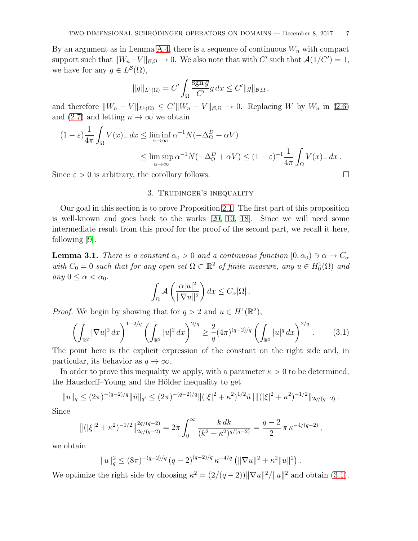By an argument as in Lemma [A.4,](#page-12-0) there is a sequence of continuous  $W_n$  with compact support such that  $||W_n-V||_{\mathcal{B},\Omega} \to 0$ . We also note that with C' such that  $\mathcal{A}(1/C')=1$ , we have for any  $g \in L^{\mathcal{B}}(\Omega)$ ,

$$
||g||_{L^1(\Omega)} = C' \int_{\Omega} \frac{\overline{\operatorname{sgn} g}}{C'} g \, dx \le C' ||g||_{\mathcal{B},\Omega},
$$

and therefore  $||W_n - V||_{L^1(\Omega)} \leq C'||W_n - V||_{\mathcal{B},\Omega} \to 0$ . Replacing W by  $W_n$  in [\(2.6\)](#page-5-0) and [\(2.7\)](#page-5-1) and letting  $n \to \infty$  we obtain

$$
(1 - \varepsilon) \frac{1}{4\pi} \int_{\Omega} V(x) dx \le \liminf_{\alpha \to \infty} \alpha^{-1} N(-\Delta_{\Omega}^{D} + \alpha V)
$$
  
\$\le \limsup\_{\alpha \to \infty} \alpha^{-1} N(-\Delta\_{\Omega}^{D} + \alpha V) \le (1 - \varepsilon)^{-1} \frac{1}{4\pi} \int\_{\Omega} V(x) dx.\$

<span id="page-6-0"></span>Since  $\varepsilon > 0$  is arbitrary, the corollary follows.

## 3. Trudinger's inequality

Our goal in this section is to prove Proposition [2.1.](#page-3-3) The first part of this proposition is well-known and goes back to the works [\[20,](#page-16-6) [10,](#page-15-6) [18\]](#page-16-7). Since we will need some intermediate result from this proof for the proof of the second part, we recall it here, following [\[9\]](#page-15-7).

<span id="page-6-2"></span>**Lemma 3.1.** There is a constant  $\alpha_0 > 0$  and a continuous function  $[0, \alpha_0) \ni \alpha \to C_\alpha$ with  $C_0 = 0$  such that for any open set  $\Omega \subset \mathbb{R}^2$  of finite measure, any  $u \in H_0^1(\Omega)$  and any  $0 \leq \alpha < \alpha_0$ .

$$
\int_{\Omega} \mathcal{A}\left(\frac{\alpha |u|^2}{\|\nabla u\|^2}\right) dx \leq C_{\alpha} |\Omega|.
$$

*Proof.* We begin by showing that for  $q > 2$  and  $u \in H^1(\mathbb{R}^2)$ ,

<span id="page-6-1"></span>
$$
\left(\int_{\mathbb{R}^2} |\nabla u|^2 \, dx\right)^{1-2/q} \left(\int_{\mathbb{R}^2} |u|^2 \, dx\right)^{2/q} \ge \frac{2}{q} (4\pi)^{(q-2)/q} \left(\int_{\mathbb{R}^2} |u|^q \, dx\right)^{2/q}.\tag{3.1}
$$

The point here is the explicit expression of the constant on the right side and, in particular, its behavior as  $q \to \infty$ .

In order to prove this inequality we apply, with a parameter  $\kappa > 0$  to be determined, the Hausdorff–Young and the Hölder inequality to get

$$
||u||_q \le (2\pi)^{-(q-2)/q} ||\hat{u}||_{q'} \le (2\pi)^{-(q-2)/q} ||(|\xi|^2 + \kappa^2)^{1/2} \hat{u}|| ||(|\xi|^2 + \kappa^2)^{-1/2} ||_{2q/(q-2)}.
$$

Since

$$
\left\| (|\xi|^2 + \kappa^2)^{-1/2} \right\|_{2q/(q-2)}^{2q/(q-2)} = 2\pi \int_0^\infty \frac{k \, dk}{(k^2 + \kappa^2)^{q/(q-2)}} = \frac{q-2}{2} \pi \, \kappa^{-4/(q-2)} \,,
$$

we obtain

$$
||u||_q^2 \leq (8\pi)^{-(q-2)/q} (q-2)^{(q-2)/q} \kappa^{-4/q} (||\nabla u||^2 + \kappa^2 ||u||^2).
$$

We optimize the right side by choosing  $\kappa^2 = (2/(q-2)) \|\nabla u\|^2 / \|u\|^2$  and obtain [\(3.1\)](#page-6-1).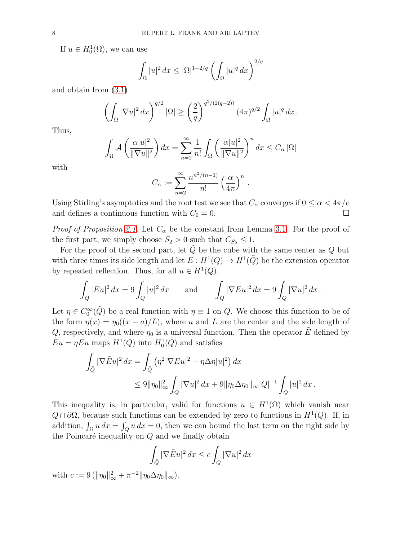If  $u \in H_0^1(\Omega)$ , we can use

$$
\int_{\Omega} |u|^2 dx \leq |\Omega|^{1-2/q} \left( \int_{\Omega} |u|^q dx \right)^{2/q}
$$

and obtain from [\(3.1\)](#page-6-1)

$$
\left(\int_{\Omega} |\nabla u|^2 dx\right)^{q/2} |\Omega| \ge \left(\frac{2}{q}\right)^{q^2/(2(q-2))} (4\pi)^{q/2} \int_{\Omega} |u|^q dx.
$$

Thus,

$$
\int_{\Omega} \mathcal{A}\left(\frac{\alpha |u|^2}{\|\nabla u\|^2}\right) dx = \sum_{n=2}^{\infty} \frac{1}{n!} \int_{\Omega} \left(\frac{\alpha |u|^2}{\|\nabla u\|^2}\right)^n dx \le C_{\alpha} |\Omega|
$$

with

$$
C_{\alpha} := \sum_{n=2}^{\infty} \frac{n^{n^2/(n-1)}}{n!} \left(\frac{\alpha}{4\pi}\right)^n.
$$

Using Stirling's asymptotics and the root test we see that  $C_{\alpha}$  converges if  $0 \leq \alpha < 4\pi/e$ and defines a continuous function with  $C_0 = 0$ .

*Proof of Proposition [2.1.](#page-3-3)* Let  $C_{\alpha}$  be the constant from Lemma [3.1.](#page-6-2) For the proof of the first part, we simply choose  $S_2 > 0$  such that  $C_{S_2} \leq 1$ .

For the proof of the second part, let  $\tilde{Q}$  be the cube with the same center as  $Q$  but with three times its side length and let  $E: H^1(Q) \to H^1(\tilde{Q})$  be the extension operator by repeated reflection. Thus, for all  $u \in H^1(Q)$ ,

$$
\int_{\tilde{Q}} |Eu|^2 dx = 9 \int_Q |u|^2 dx \quad \text{and} \quad \int_{\tilde{Q}} |\nabla Eu|^2 dx = 9 \int_Q |\nabla u|^2 dx.
$$

Let  $\eta \in C_0^{\infty}(\tilde{Q})$  be a real function with  $\eta \equiv 1$  on  $Q$ . We choose this function to be of the form  $\eta(x) = \eta_0((x - a)/L)$ , where a and L are the center and the side length of Q, respectively, and where  $\eta_0$  is a universal function. Then the operator  $\tilde{E}$  defined by  $\tilde{E}u = \eta E u$  maps  $H^1(Q)$  into  $H_0^1(\tilde{Q})$  and satisfies

$$
\int_{\tilde{Q}} |\nabla \tilde{E}u|^2 dx = \int_{\tilde{Q}} (\eta^2 |\nabla Eu|^2 - \eta \Delta \eta |u|^2) dx
$$
  

$$
\leq 9 \|\eta_0\|_{\infty}^2 \int_Q |\nabla u|^2 dx + 9 \|\eta_0 \Delta \eta_0\|_{\infty} |Q|^{-1} \int_Q |u|^2 dx.
$$

This inequality is, in particular, valid for functions  $u \in H^1(\Omega)$  which vanish near  $Q \cap \partial\Omega$ , because such functions can be extended by zero to functions in  $H^1(Q)$ . If, in addition,  $\int_{\Omega} u \, dx = \int_{Q} u \, dx = 0$ , then we can bound the last term on the right side by the Poincaré inequality on  $Q$  and we finally obtain

$$
\int_{\tilde{Q}} |\nabla \tilde{E} u|^2 dx \le c \int_Q |\nabla u|^2 dx
$$

with  $c := 9 \left( \| \eta_0 \|_{\infty}^2 + \pi^{-2} \| \eta_0 \Delta \eta_0 \|_{\infty} \right)$ .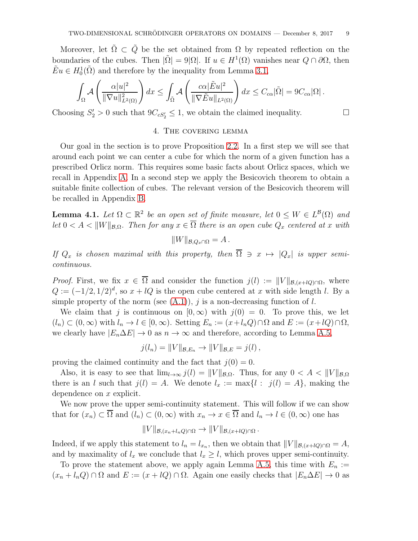Moreover, let  $\tilde{\Omega} \subset \tilde{Q}$  be the set obtained from  $\Omega$  by repeated reflection on the boundaries of the cubes. Then  $|\tilde{\Omega}| = 9|\Omega|$ . If  $u \in H^1(\Omega)$  vanishes near  $Q \cap \partial\Omega$ , then  $\tilde{E}u \in H_0^1(\tilde{\Omega})$  and therefore by the inequality from Lemma [3.1,](#page-6-2)

$$
\int_{\Omega} \mathcal{A}\left(\frac{\alpha|u|^2}{\|\nabla u\|_{L^2(\Omega)}^2}\right)dx \leq \int_{\tilde{\Omega}} \mathcal{A}\left(\frac{c\alpha|\tilde{E}u|^2}{\|\nabla \tilde{E}u\|_{L^2(\Omega)}}\right)dx \leq C_{c\alpha}|\tilde{\Omega}| = 9C_{c\alpha}|\Omega|.
$$

<span id="page-8-0"></span>Choosing  $S'_2 > 0$  such that  $9C_{cS'_2} \leq 1$ , we obtain the claimed inequality.

#### 4. The covering lemma

Our goal in the section is to prove Proposition [2.2.](#page-4-0) In a first step we will see that around each point we can center a cube for which the norm of a given function has a prescribed Orlicz norm. This requires some basic facts about Orlicz spaces, which we recall in Appendix [A.](#page-9-0) In a second step we apply the Besicovich theorem to obtain a suitable finite collection of cubes. The relevant version of the Besicovich theorem will be recalled in Appendix [B.](#page-13-0)

<span id="page-8-1"></span>**Lemma 4.1.** Let  $\Omega \subset \mathbb{R}^2$  be an open set of finite measure, let  $0 \leq W \in L^{\mathcal{B}}(\Omega)$  and let  $0 < A < ||W||_{\mathcal{B}, \Omega}$ . Then for any  $x \in \overline{\Omega}$  there is an open cube  $Q_x$  centered at x with

$$
||W||_{\mathcal{B},Q_x\cap\Omega}=A.
$$

If  $Q_x$  is chosen maximal with this property, then  $\overline{\Omega} \ni x \mapsto |Q_x|$  is upper semicontinuous.

*Proof.* First, we fix  $x \in \overline{\Omega}$  and consider the function  $j(l) := ||V||_{\mathcal{B},(x+lQ)\cap\Omega}$ , where  $Q := (-1/2, 1/2)^d$ , so  $x + lQ$  is the open cube centered at x with side length l. By a simple property of the norm (see  $(A.1)$ ), j is a non-decreasing function of l.

We claim that j is continuous on  $[0, \infty)$  with  $j(0) = 0$ . To prove this, we let  $(l_n) \subset (0,\infty)$  with  $l_n \to l \in [0,\infty)$ . Setting  $E_n := (x + l_n Q) \cap \Omega$  and  $E := (x + lQ) \cap \Omega$ , we clearly have  $|E_n\Delta E| \to 0$  as  $n \to \infty$  and therefore, according to Lemma [A.5,](#page-12-1)

$$
j(l_n) = ||V||_{\mathcal{B},E_n} \to ||V||_{\mathcal{B},E} = j(l),
$$

proving the claimed continuity and the fact that  $j(0) = 0$ .

Also, it is easy to see that  $\lim_{l\to\infty} j(l) = ||V||_{\mathcal{B},\Omega}$ . Thus, for any  $0 < A < ||V||_{\mathcal{B},\Omega}$ there is an l such that  $j(l) = A$ . We denote  $l_x := \max\{l : j(l) = A\}$ , making the dependence on x explicit.

We now prove the upper semi-continuity statement. This will follow if we can show that for  $(x_n) \subset \overline{\Omega}$  and  $(l_n) \subset (0,\infty)$  with  $x_n \to x \in \overline{\Omega}$  and  $l_n \to l \in (0,\infty)$  one has

$$
||V||_{\mathcal{B},(x_n+l_nQ)\cap\Omega} \to ||V||_{\mathcal{B},(x+lQ)\cap\Omega}.
$$

Indeed, if we apply this statement to  $l_n = l_{x_n}$ , then we obtain that  $||V||_{\mathcal{B},(x+lQ)\cap\Omega} = A$ , and by maximality of  $l_x$  we conclude that  $l_x \geq l$ , which proves upper semi-continuity.

To prove the statement above, we apply again Lemma [A.5,](#page-12-1) this time with  $E_n :=$  $(x_n + l_n Q) \cap \Omega$  and  $E := (x + lQ) \cap \Omega$ . Again one easily checks that  $|E_n \Delta E| \to 0$  as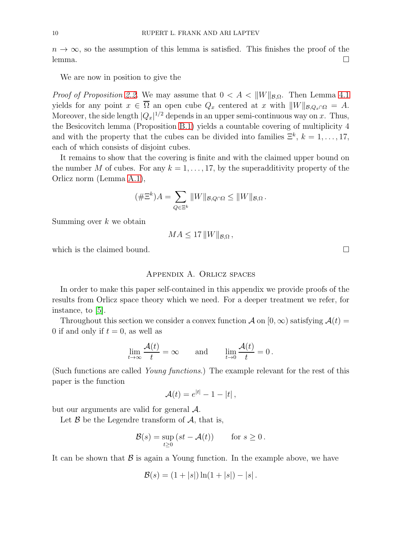$n \to \infty$ , so the assumption of this lemma is satisfied. This finishes the proof of the lemma. □

We are now in position to give the

*Proof of Proposition [2.2.](#page-4-0)* We may assume that  $0 < A < ||W||_{\mathcal{B},\Omega}$ . Then Lemma [4.1](#page-8-1) yields for any point  $x \in \overline{\Omega}$  an open cube  $Q_x$  centered at x with  $||W||_{\mathcal{B},Q_x\cap\Omega} = A$ . Moreover, the side length  $|Q_x|^{1/2}$  depends in an upper semi-continuous way on x. Thus, the Besicovitch lemma (Proposition [B.1\)](#page-14-0) yields a countable covering of multiplicity 4 and with the property that the cubes can be divided into families  $\Xi^k$ ,  $k = 1, \ldots, 17$ , each of which consists of disjoint cubes.

It remains to show that the covering is finite and with the claimed upper bound on the number M of cubes. For any  $k = 1, \ldots, 17$ , by the superadditivity property of the Orlicz norm (Lemma [A.1\)](#page-10-2),

$$
(\#\Xi^k)A = \sum_{Q \in \Xi^k} ||W||_{\mathcal{B},Q \cap \Omega} \le ||W||_{\mathcal{B},\Omega}.
$$

Summing over  $k$  we obtain

$$
MA \leq 17\,||W||_{\mathcal{B},\Omega},
$$

<span id="page-9-0"></span>which is the claimed bound.  $\square$ 

#### Appendix A. Orlicz spaces

In order to make this paper self-contained in this appendix we provide proofs of the results from Orlicz space theory which we need. For a deeper treatment we refer, for instance, to [\[5\]](#page-15-8).

Throughout this section we consider a convex function A on [0,  $\infty$ ) satisfying  $\mathcal{A}(t) =$ 0 if and only if  $t = 0$ , as well as

$$
\lim_{t \to \infty} \frac{\mathcal{A}(t)}{t} = \infty \quad \text{and} \quad \lim_{t \to 0} \frac{\mathcal{A}(t)}{t} = 0.
$$

(Such functions are called Young functions.) The example relevant for the rest of this paper is the function

$$
\mathcal{A}(t) = e^{|t|} - 1 - |t| \,,
$$

but our arguments are valid for general A.

Let  $\beta$  be the Legendre transform of  $\mathcal{A}$ , that is,

$$
\mathcal{B}(s) = \sup_{t \ge 0} (st - \mathcal{A}(t)) \quad \text{for } s \ge 0.
$$

It can be shown that  $\beta$  is again a Young function. In the example above, we have

$$
\mathcal{B}(s) = (1+|s|)\ln(1+|s|) - |s|.
$$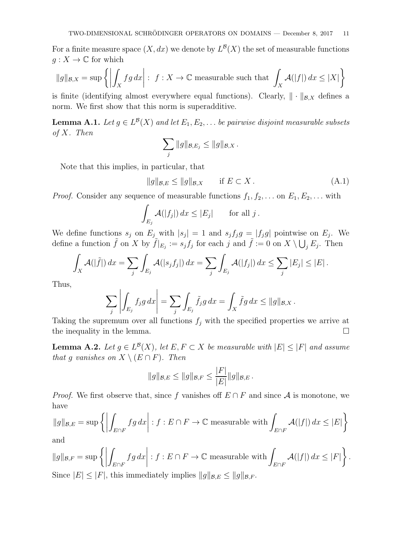For a finite measure space  $(X, dx)$  we denote by  $L^{\mathcal{B}}(X)$  the set of measurable functions  $g: X \to \mathbb{C}$  for which

$$
\|g\|_{\mathcal{B},X} = \sup \left\{ \left| \int_X fg \, dx \right| : f : X \to \mathbb{C} \text{ measurable such that } \int_X \mathcal{A}(|f|) \, dx \le |X| \right\}
$$

is finite (identifying almost everywhere equal functions). Clearly,  $\|\cdot\|_{\mathcal{B},X}$  defines a norm. We first show that this norm is superadditive.

<span id="page-10-2"></span>**Lemma A.1.** Let  $g \in L^{\mathcal{B}}(X)$  and let  $E_1, E_2, \ldots$  be pairwise disjoint measurable subsets of X. Then

$$
\sum_j \|g\|_{\mathcal{B},E_j} \le \|g\|_{\mathcal{B},X}.
$$

Note that this implies, in particular, that

<span id="page-10-1"></span>
$$
||g||_{\mathcal{B},E} \le ||g||_{\mathcal{B},X} \quad \text{if } E \subset X. \tag{A.1}
$$

*Proof.* Consider any sequence of measurable functions  $f_1, f_2, \ldots$  on  $E_1, E_2, \ldots$  with

$$
\int_{E_j} \mathcal{A}(|f_j|) dx \leq |E_j| \quad \text{for all } j.
$$

We define functions  $s_j$  on  $E_j$  with  $|s_j| = 1$  and  $s_j f_j g = |f_j g|$  pointwise on  $E_j$ . We define a function  $\tilde{f}$  on X by  $\tilde{f}|_{E_j} := s_j f_j$  for each j and  $\tilde{f} := 0$  on  $X \setminus \bigcup_j E_j$ . Then

$$
\int_X \mathcal{A}(|\tilde{f}|) dx = \sum_j \int_{E_j} \mathcal{A}(|s_j f_j|) dx = \sum_j \int_{E_j} \mathcal{A}(|f_j|) dx \le \sum_j |E_j| \le |E|.
$$

Thus,

$$
\sum_j \left| \int_{E_j} f_j g \, dx \right| = \sum_j \int_{E_j} \tilde{f}_j g \, dx = \int_X \tilde{f} g \, dx \le ||g||_{\mathcal{B},X}.
$$

Taking the supremum over all functions  $f_i$  with the specified properties we arrive at the inequality in the lemma.

<span id="page-10-0"></span>**Lemma A.2.** Let  $g \in L^{\mathcal{B}}(X)$ , let  $E, F \subset X$  be measurable with  $|E| \leq |F|$  and assume that g vanishes on  $X \setminus (E \cap F)$ . Then

$$
||g||_{\mathcal{B},E} \le ||g||_{\mathcal{B},F} \le \frac{|F|}{|E|} ||g||_{\mathcal{B},E}.
$$

*Proof.* We first observe that, since f vanishes off  $E \cap F$  and since A is monotone, we have

$$
\|g\|_{\mathcal{B},E} = \sup \left\{ \left| \int_{E \cap F} fg \, dx \right| : f : E \cap F \to \mathbb{C} \text{ measurable with } \int_{E \cap F} \mathcal{A}(|f|) \, dx \le |E| \right\}
$$
 and

and

$$
||g||_{\mathcal{B},F} = \sup \left\{ \left| \int_{E \cap F} fg \, dx \right| : f : E \cap F \to \mathbb{C} \text{ measurable with } \int_{E \cap F} \mathcal{A}(|f|) \, dx \le |F| \right\}.
$$
  
Since  $|E| \le |F|$ , this immediately implies  $||g||_{\mathcal{B},E} \le ||g||_{\mathcal{B},F}.$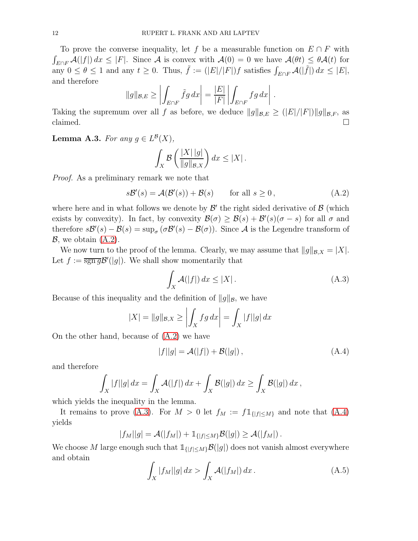To prove the converse inequality, let f be a measurable function on  $E \cap F$  with  $\int_{E\cap F} \mathcal{A}(|f|) dx \leq |F|$ . Since A is convex with  $\mathcal{A}(0) = 0$  we have  $\mathcal{A}(\theta t) \leq \theta \mathcal{A}(t)$  for any  $0 \le \theta \le 1$  and any  $t \ge 0$ . Thus,  $\tilde{f} := (|E|/|F|) f$  satisfies  $\int_{E \cap F} \mathcal{A}(|\tilde{f}|) dx \le |E|$ , and therefore

$$
||g||_{\mathcal{B},E} \ge \left| \int_{E \cap F} \tilde{f}g \, dx \right| = \frac{|E|}{|F|} \left| \int_{E \cap F} fg \, dx \right|.
$$

Taking the supremum over all f as before, we deduce  $||g||_{\mathcal{B},E} \ge (|E|/|F|)||g||_{\mathcal{B},F}$ , as claimed.  $\Box$ 

<span id="page-11-4"></span>**Lemma A.3.** For any  $g \in L^{\mathcal{B}}(X)$ ,

$$
\int_X \mathcal{B}\left(\frac{|X| |g|}{\|g\|_{\mathcal{B},X}}\right) dx \le |X|.
$$

Proof. As a preliminary remark we note that

<span id="page-11-0"></span>
$$
s\mathcal{B}'(s) = \mathcal{A}(\mathcal{B}'(s)) + \mathcal{B}(s) \qquad \text{for all } s \ge 0,
$$
 (A.2)

where here and in what follows we denote by  $\mathcal{B}'$  the right sided derivative of  $\mathcal{B}$  (which exists by convexity). In fact, by convexity  $\mathcal{B}(\sigma) \geq \mathcal{B}(s) + \mathcal{B}'(s)(\sigma - s)$  for all  $\sigma$  and therefore  $s\mathcal{B}'(s) - \mathcal{B}(s) = \sup_{\sigma} (\sigma \mathcal{B}'(s) - \mathcal{B}(\sigma))$ . Since A is the Legendre transform of  $\mathcal{B}$ , we obtain  $(A.2)$ .

We now turn to the proof of the lemma. Clearly, we may assume that  $||g||_{\mathcal{B},X} = |X|$ . Let  $f := \overline{\text{sgn }g} \mathcal{B}'(|g|)$ . We shall show momentarily that

<span id="page-11-1"></span>
$$
\int_{X} \mathcal{A}(|f|) dx \le |X|.
$$
\n(A.3)

Because of this inequality and the definition of  $||g||_B$ , we have

$$
|X| = ||g||_{\mathcal{B},X} \ge \left| \int_X fg \, dx \right| = \int_X |f||g| \, dx
$$

On the other hand, because of [\(A.2\)](#page-11-0) we have

<span id="page-11-2"></span>
$$
|f||g| = \mathcal{A}(|f|) + \mathcal{B}(|g|), \qquad (A.4)
$$

and therefore

$$
\int_X |f||g| dx = \int_X \mathcal{A}(|f|) dx + \int_X \mathcal{B}(|g|) dx \ge \int_X \mathcal{B}(|g|) dx,
$$

which yields the inequality in the lemma.

It remains to prove [\(A.3\)](#page-11-1). For  $M > 0$  let  $f_M := f \mathbb{1}_{\{|f| \le M\}}$  and note that [\(A.4\)](#page-11-2) yields

$$
|f_M||g| = \mathcal{A}(|f_M|) + \mathbb{1}_{\{|f| \le M\}} \mathcal{B}(|g|) \ge \mathcal{A}(|f_M|).
$$

We choose M large enough such that  $\mathbb{1}_{\{|f| \leq M\}} \mathcal{B}(|g|)$  does not vanish almost everywhere and obtain

<span id="page-11-3"></span>
$$
\int_{X} |f_M||g| dx > \int_{X} \mathcal{A}(|f_M|) dx.
$$
\n(A.5)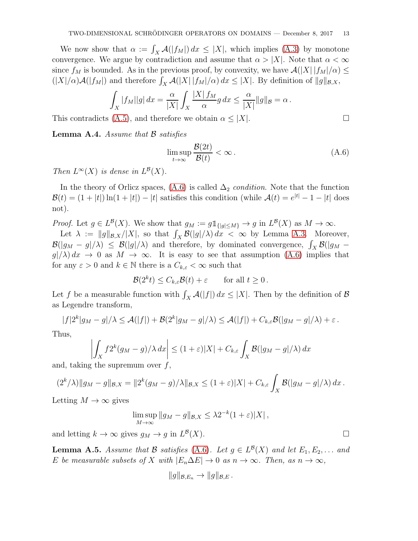We now show that  $\alpha := \int_X \mathcal{A}(|f_M|) dx \leq |X|$ , which implies [\(A.3\)](#page-11-1) by monotone convergence. We argue by contradiction and assume that  $\alpha > |X|$ . Note that  $\alpha < \infty$ since  $f_M$  is bounded. As in the previous proof, by convexity, we have  $\mathcal{A}(|X| | f_M/\alpha) \leq$  $(|X|/\alpha)\mathcal{A}(|f_M|)$  and therefore  $\int_X \mathcal{A}(|X| |f_M|/\alpha) dx \leq |X|$ . By definition of  $||g||_{\mathcal{B},X}$ ,

$$
\int_X |f_M||g| dx = \frac{\alpha}{|X|} \int_X \frac{|X| f_M}{\alpha} g dx \le \frac{\alpha}{|X|} \|g\|_{\mathcal{B}} = \alpha.
$$

This contradicts [\(A.5\)](#page-11-3), and therefore we obtain  $\alpha \leq |X|$ .

<span id="page-12-0"></span>Lemma A.4. Assume that  $\beta$  satisfies

<span id="page-12-2"></span>
$$
\limsup_{t \to \infty} \frac{\mathcal{B}(2t)}{\mathcal{B}(t)} < \infty. \tag{A.6}
$$

Then  $L^{\infty}(X)$  is dense in  $L^{\mathcal{B}}(X)$ .

In the theory of Orlicz spaces, [\(A.6\)](#page-12-2) is called  $\Delta_2$  condition. Note that the function  $\mathcal{B}(t) = (1+|t|)\ln(1+|t|) - |t|$  satisfies this condition (while  $\mathcal{A}(t) = e^{|t|} - 1 - |t|$  does not).

*Proof.* Let  $g \in L^{\mathcal{B}}(X)$ . We show that  $g_M := g \mathbb{1}_{\{|g| \le M\}} \to g$  in  $L^{\mathcal{B}}(X)$  as  $M \to \infty$ .

Let  $\lambda := ||g||_{\mathcal{B},X}/|X|$ , so that  $\int_X \mathcal{B}(|g|/\lambda) dx < \infty$  by Lemma [A.3.](#page-11-4) Moreover,  $\mathcal{B}(|g_M - g|/\lambda) \leq \mathcal{B}(|g|/\lambda)$  and therefore, by dominated convergence,  $\int_X \mathcal{B}(|g_M - g|/\lambda)$  $g(\lambda) dx \to 0$  as  $M \to \infty$ . It is easy to see that assumption [\(A.6\)](#page-12-2) implies that for any  $\varepsilon > 0$  and  $k \in \mathbb{N}$  there is a  $C_{k,\varepsilon} < \infty$  such that

$$
\mathcal{B}(2^k t) \le C_{k,\varepsilon} \mathcal{B}(t) + \varepsilon \qquad \text{for all } t \ge 0.
$$

Let f be a measurable function with  $\int_X \mathcal{A}(|f|) dx \leq |X|$ . Then by the definition of  $\mathcal{B}$ as Legendre transform,

$$
|f|2^k|g_M-g|/\lambda \leq \mathcal{A}(|f|) + \mathcal{B}(2^k|g_M-g|/\lambda) \leq \mathcal{A}(|f|) + C_{k,\varepsilon} \mathcal{B}(|g_M-g|/\lambda) + \varepsilon.
$$

Thus,

$$
\left| \int_X f^{2k} (g_M - g) / \lambda \, dx \right| \le (1 + \varepsilon) |X| + C_{k,\varepsilon} \int_X \mathcal{B}(|g_M - g| / \lambda) \, dx
$$

and, taking the supremum over  $f$ ,

$$
(2^k/\lambda) \|g_M - g\|_{\mathcal{B},X} = \|2^k(g_M - g)/\lambda\|_{\mathcal{B},X} \le (1+\varepsilon)|X| + C_{k,\varepsilon} \int_X \mathcal{B}(|g_M - g|/\lambda) dx.
$$

Letting  $M \to \infty$  gives

$$
\limsup_{M \to \infty} \|g_M - g\|_{\mathcal{B},X} \leq \lambda 2^{-k} (1 + \varepsilon) |X|,
$$

and letting  $k \to \infty$  gives  $g_M \to g$  in  $L^{\mathcal{B}}$  $(X)$ .

<span id="page-12-1"></span>**Lemma A.5.** Assume that B satisfies [\(A.6\)](#page-12-2). Let  $g \in L^{\mathcal{B}}(X)$  and let  $E_1, E_2, \ldots$  and E be measurable subsets of X with  $|E_n\Delta E| \to 0$  as  $n \to \infty$ . Then, as  $n \to \infty$ ,

$$
||g||_{\mathcal{B},E_n}\to ||g||_{\mathcal{B},E}.
$$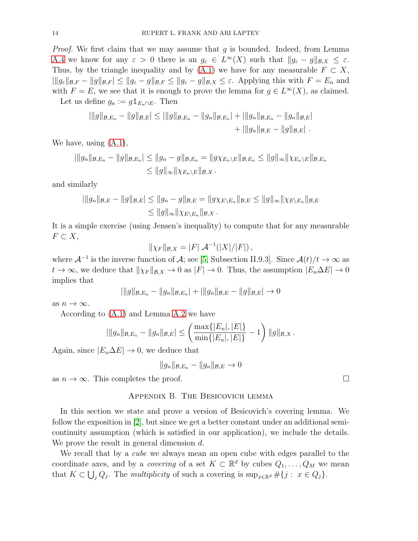*Proof.* We first claim that we may assume that  $g$  is bounded. Indeed, from Lemma [A.4](#page-12-0) we know for any  $\varepsilon > 0$  there is an  $g_{\varepsilon} \in L^{\infty}(X)$  such that  $||g_{\varepsilon} - g||_{\mathcal{B},X} \leq \varepsilon$ . Thus, by the triangle inequality and by [\(A.1\)](#page-10-1) we have for any measurable  $F \subset X$ ,  $||g_{\varepsilon}||_{\mathcal{B},F} - ||g||_{\mathcal{B},F}| \le ||g_{\varepsilon} - g||_{\mathcal{B},F} \le ||g_{\varepsilon} - g||_{\mathcal{B},X} \le \varepsilon$ . Applying this with  $F = E_n$  and with  $F = E$ , we see that it is enough to prove the lemma for  $g \in L^{\infty}(X)$ , as claimed.

Let us define  $g_n := g1_{E_n \cap E}$ . Then

$$
|\|g\|_{\mathcal{B},E_n} - \|g\|_{\mathcal{B},E}| \leq |\|g\|_{\mathcal{B},E_n} - \|g_n\|_{\mathcal{B},E_n}| + |\|g_n\|_{\mathcal{B},E_n} - \|g_n\|_{\mathcal{B},E}| + |\|g_n\|_{\mathcal{B},E} - \|g\|_{\mathcal{B},E}|.
$$

We have, using [\(A.1\)](#page-10-1),

$$
\|g_n\|_{\mathcal{B},E_n} - \|g\|_{\mathcal{B},E_n} \le \|g_n - g\|_{\mathcal{B},E_n} = \|g\chi_{E_n\setminus E}\|_{\mathcal{B},E_n} \le \|g\|_{\infty} \|\chi_{E_n\setminus E}\|_{\mathcal{B},E_n}
$$
  

$$
\le \|g\|_{\infty} \|\chi_{E_n\setminus E}\|_{\mathcal{B},X}.
$$

and similarly

$$
|\|g_n\|_{\mathcal{B},E} - \|g\|_{\mathcal{B},E}| \le \|g_n - g\|_{\mathcal{B},E} = \|g\chi_{E\setminus E_n}\|_{\mathcal{B},E} \le \|g\|_{\infty} \|\chi_{E\setminus E_n}\|_{\mathcal{B},E}
$$
  

$$
\le \|g\|_{\infty} \|\chi_{E\setminus E_n}\|_{\mathcal{B},X}.
$$

It is a simple exercise (using Jensen's inequality) to compute that for any measurable  $F \subset X$ ,

$$
\|\chi_F\|_{\mathcal{B},X} = |F| \mathcal{A}^{-1}(|X|/|F|),
$$

where  $\mathcal{A}^{-1}$  is the inverse function of  $\mathcal{A}$ ; see [\[5,](#page-15-8) Subsection II.9.3]. Since  $\mathcal{A}(t)/t \to \infty$  as  $t \to \infty$ , we deduce that  $\|\chi_F\|_{\mathcal{B},X} \to 0$  as  $|F| \to 0$ . Thus, the assumption  $|E_n \Delta E| \to 0$ implies that

$$
\|\|g\|_{\mathcal{B},E_n} - \|g_n\|_{\mathcal{B},E_n}\| + \|\|g_n\|_{\mathcal{B},E} - \|g\|_{\mathcal{B},E}\| \to 0
$$

as  $n \to \infty$ .

According to [\(A.1\)](#page-10-1) and Lemma [A.2](#page-10-0) we have

$$
|\|g_n\|_{\mathcal{B},E_n}-\|g_n\|_{\mathcal{B},E}|\leq \left(\frac{\max\{|E_n|,|E|\}}{\min\{|E_n|,|E|\}}-1\right)\|g\|_{\mathcal{B},X}.
$$

Again, since  $|E_n \Delta E| \to 0$ , we deduce that

$$
||g_n||_{\mathcal{B},E_n} - ||g_n||_{\mathcal{B},E} \to 0
$$

<span id="page-13-0"></span>as  $n \to \infty$ . This completes the proof.

# Appendix B. The Besicovich lemma

In this section we state and prove a version of Besicovich's covering lemma. We follow the exposition in [\[2\]](#page-15-9), but since we get a better constant under an additional semicontinuity assumption (which is satisfied in our application), we include the details. We prove the result in general dimension d.

We recall that by a *cube* we always mean an open cube with edges parallel to the coordinate axes, and by a *covering* of a set  $K \subset \mathbb{R}^d$  by cubes  $Q_1, \ldots, Q_M$  we mean that  $K \subset \bigcup_j Q_j$ . The multiplicity of such a covering is  $\sup_{x \in \mathbb{R}^d} \# \{j : x \in Q_j\}.$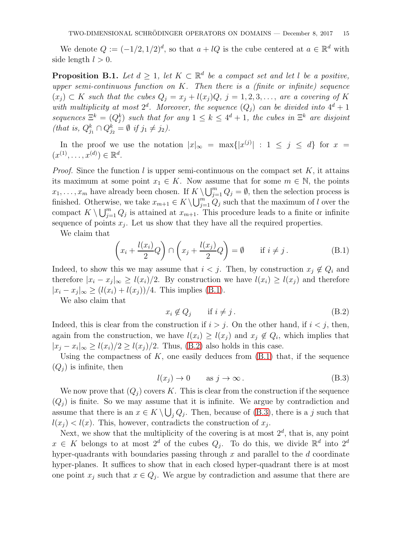We denote  $Q := (-1/2, 1/2)^d$ , so that  $a + lQ$  is the cube centered at  $a \in \mathbb{R}^d$  with side length  $l > 0$ .

<span id="page-14-0"></span>**Proposition B.1.** Let  $d \geq 1$ , let  $K \subset \mathbb{R}^d$  be a compact set and let l be a positive, upper semi-continuous function on  $K$ . Then there is a (finite or infinite) sequence  $(x_j) \subset K$  such that the cubes  $Q_j = x_j + l(x_j)Q, j = 1, 2, 3, \ldots$ , are a covering of K with multiplicity at most  $2^d$ . Moreover, the sequence  $(Q_j)$  can be divided into  $4^d + 1$ sequences  $\Xi^k = (Q_j^k)$  such that for any  $1 \leq k \leq 4^d + 1$ , the cubes in  $\Xi^k$  are disjoint (that is,  $Q_{j_1}^k \cap Q_{j_2}^k = \emptyset$  if  $j_1 \neq j_2$ ).

In the proof we use the notation  $|x|_{\infty} = \max\{|x^{(j)}| : 1 \leq j \leq d\}$  for  $x =$  $(x^{(1)},...,x^{(d)}) \in \mathbb{R}^d$ .

*Proof.* Since the function l is upper semi-continuous on the compact set  $K$ , it attains its maximum at some point  $x_1 \in K$ . Now assume that for some  $m \in \mathbb{N}$ , the points  $x_1, \ldots, x_m$  have already been chosen. If  $K \setminus \bigcup_{j=1}^m Q_j = \emptyset$ , then the selection process is finished. Otherwise, we take  $x_{m+1} \in K \setminus \bigcup_{j=1}^{m} Q_j$  such that the maximum of l over the compact  $K \setminus \bigcup_{j=1}^m Q_j$  is attained at  $x_{m+1}$ . This procedure leads to a finite or infinite sequence of points  $x_j$ . Let us show that they have all the required properties.

We claim that

<span id="page-14-1"></span>
$$
\left(x_i + \frac{l(x_i)}{2}Q\right) \cap \left(x_j + \frac{l(x_j)}{2}Q\right) = \emptyset \qquad \text{if } i \neq j. \tag{B.1}
$$

Indeed, to show this we may assume that  $i < j$ . Then, by construction  $x_j \notin Q_i$  and therefore  $|x_i - x_j|_{\infty} \ge l(x_i)/2$ . By construction we have  $l(x_i) \ge l(x_j)$  and therefore  $|x_i - x_j|_{\infty} \ge (l(x_i) + l(x_j))/4$ . This implies [\(B.1\)](#page-14-1).

We also claim that

<span id="page-14-2"></span>
$$
x_i \notin Q_j \qquad \text{if } i \neq j. \tag{B.2}
$$

Indeed, this is clear from the construction if  $i > j$ . On the other hand, if  $i < j$ , then, again from the construction, we have  $l(x_i) \geq l(x_j)$  and  $x_j \notin Q_i$ , which implies that  $|x_j - x_i|_{\infty} \ge l(x_i)/2 \ge l(x_j)/2$ . Thus, [\(B.2\)](#page-14-2) also holds in this case.

Using the compactness of  $K$ , one easily deduces from  $(B.1)$  that, if the sequence  $(Q_i)$  is infinite, then

<span id="page-14-3"></span>
$$
l(x_j) \to 0 \qquad \text{as } j \to \infty \,. \tag{B.3}
$$

We now prove that  $(Q_i)$  covers K. This is clear from the construction if the sequence  $(Q_i)$  is finite. So we may assume that it is infinite. We argue by contradiction and assume that there is an  $x \in K \setminus \bigcup_j Q_j$ . Then, because of [\(B.3\)](#page-14-3), there is a j such that  $l(x_j) < l(x)$ . This, however, contradicts the construction of  $x_j$ .

Next, we show that the multiplicity of the covering is at most  $2^d$ , that is, any point  $x \in K$  belongs to at most  $2^d$  of the cubes  $Q_j$ . To do this, we divide  $\mathbb{R}^d$  into  $2^d$ hyper-quadrants with boundaries passing through  $x$  and parallel to the  $d$  coordinate hyper-planes. It suffices to show that in each closed hyper-quadrant there is at most one point  $x_j$  such that  $x \in Q_j$ . We argue by contradiction and assume that there are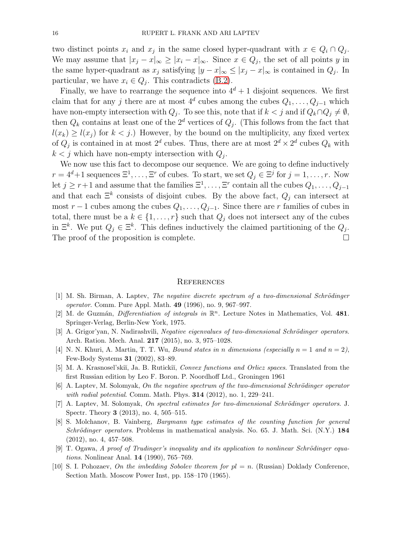two distinct points  $x_i$  and  $x_j$  in the same closed hyper-quadrant with  $x \in Q_i \cap Q_j$ . We may assume that  $|x_j - x|_{\infty} \ge |x_i - x|_{\infty}$ . Since  $x \in Q_j$ , the set of all points y in the same hyper-quadrant as  $x_j$  satisfying  $|y-x|_{\infty} \leq |x_j-x|_{\infty}$  is contained in  $Q_j$ . In particular, we have  $x_i \in Q_j$ . This contradicts [\(B.2\)](#page-14-2).

Finally, we have to rearrange the sequence into  $4^d + 1$  disjoint sequences. We first claim that for any j there are at most  $4^d$  cubes among the cubes  $Q_1, \ldots, Q_{j-1}$  which have non-empty intersection with  $Q_j$ . To see this, note that if  $k < j$  and if  $Q_k \cap Q_j \neq \emptyset$ , then  $Q_k$  contains at least one of the  $2^d$  vertices of  $Q_j$ . (This follows from the fact that  $l(x_k) \ge l(x_j)$  for  $k < j$ .) However, by the bound on the multiplicity, any fixed vertex of  $Q_j$  is contained in at most  $2^d$  cubes. Thus, there are at most  $2^d \times 2^d$  cubes  $Q_k$  with  $k < j$  which have non-empty intersection with  $Q_j$ .

We now use this fact to decompose our sequence. We are going to define inductively  $r = 4^d + 1$  sequences  $\Xi^1, \ldots, \Xi^r$  of cubes. To start, we set  $Q_j \in \Xi^j$  for  $j = 1, \ldots, r$ . Now let  $j \geq r+1$  and assume that the families  $\Xi^1, \ldots, \Xi^r$  contain all the cubes  $Q_1, \ldots, Q_{j-1}$ and that each  $\Xi^k$  consists of disjoint cubes. By the above fact,  $Q_j$  can intersect at most  $r-1$  cubes among the cubes  $Q_1, \ldots, Q_{j-1}$ . Since there are r families of cubes in total, there must be a  $k \in \{1, ..., r\}$  such that  $Q_j$  does not intersect any of the cubes in  $\Xi^k$ . We put  $Q_j \in \Xi^k$ . This defines inductively the claimed partitioning of the  $Q_j$ . The proof of the proposition is complete.  $\Box$ 

#### **REFERENCES**

- <span id="page-15-5"></span> $[1]$  M. Sh. Birman, A. Laptev, The negative discrete spectrum of a two-dimensional Schrödinger operator. Comm. Pure Appl. Math. 49 (1996), no. 9, 967–997.
- <span id="page-15-9"></span>[2] M. de Guzmán, *Differentiation of integrals in*  $\mathbb{R}^n$ . Lecture Notes in Mathematics, Vol. 481. Springer-Verlag, Berlin-New York, 1975.
- <span id="page-15-2"></span> $[3]$  A. Grigor'yan, N. Nadirashvili, Negative eigenvalues of two-dimensional Schrödinger operators. Arch. Ration. Mech. Anal. 217 (2015), no. 3, 975–1028.
- <span id="page-15-8"></span><span id="page-15-0"></span>[4] N. N. Khuri, A. Martin, T. T. Wu, *Bound states in n dimensions (especially n* = 1 and  $n = 2$ ), Few-Body Systems 31 (2002), 83–89.
- <span id="page-15-3"></span>[5] M. A. Krasnosel'skiı̆, Ja. B. Rutickiı̆, Convex functions and Orlicz spaces. Translated from the first Russian edition by Leo F. Boron. P. Noordhoff Ltd., Groningen 1961
- <span id="page-15-4"></span>[6] A. Laptev, M. Solomyak, On the negative spectrum of the two-dimensional Schrödinger operator with radial potential. Comm. Math. Phys. **314** (2012), no. 1, 229–241.
- $[7]$  A. Laptev, M. Solomyak, On spectral estimates for two-dimensional Schrödinger operators. J. Spectr. Theory 3 (2013), no. 4, 505–515.
- <span id="page-15-1"></span>[8] S. Molchanov, B. Vainberg, Bargmann type estimates of the counting function for general Schrödinger operators. Problems in mathematical analysis. No. 65. J. Math. Sci.  $(N.Y.)$  184 (2012), no. 4, 457–508.
- <span id="page-15-7"></span>[9] T. Ogawa, A proof of Trudinger's inequality and its application to nonlinear Schrödinger equations. Nonlinear Anal. 14 (1990), 765–769.
- <span id="page-15-6"></span>[10] S. I. Pohozaev, On the imbedding Sobolev theorem for  $pl = n$ . (Russian) Doklady Conference, Section Math. Moscow Power Inst, pp. 158–170 (1965).